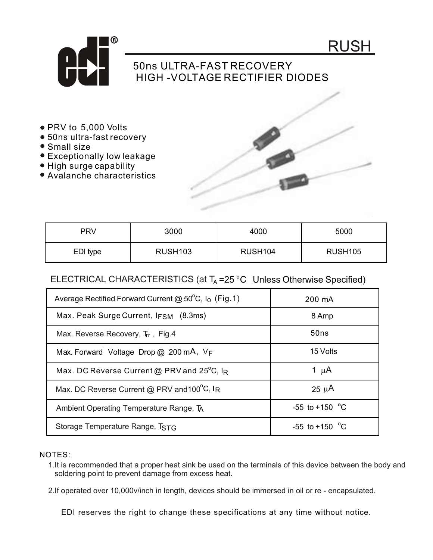



## 50ns ULTRA-FAST RECOVERY HIGH -VOLTAGE RECTIFIER DIODES

- PRV to 5,000 Volts
- 50ns ultra-fast recovery
- Small size
- Exceptionally low leakage
- High surge capability
- Avalanche characteristics



| <b>PRV</b> | 3000           | 4000                | 5000                |
|------------|----------------|---------------------|---------------------|
| EDI type   | <b>RUSH103</b> | RUSH <sub>104</sub> | RUSH <sub>105</sub> |

## ELECTRICAL CHARACTERISTICS (at  $T_A = 25$  °C Unless Otherwise Specified)

| Average Rectified Forward Current @ $50^{\circ}$ C, I <sub>O</sub> (Fig. 1) | 200 mA                   |
|-----------------------------------------------------------------------------|--------------------------|
| Max. Peak Surge Current, $I_{FSM}$ (8.3ms)                                  | 8 Amp                    |
| Max. Reverse Recovery, Trr, Fig.4                                           | 50ns                     |
| Max. Forward Voltage Drop $@$ 200 mA, $V_F$                                 | 15 Volts                 |
| Max. DC Reverse Current @ PRV and 25°C, IR                                  | 1 $\mu$ A                |
| Max. DC Reverse Current @ PRV and 100°C, IR                                 | $25 \mu A$               |
| Ambient Operating Temperature Range, TA                                     | -55 to +150 $^{\circ}$ C |
| Storage Temperature Range, TSTG                                             | $-55$ to $+150$ °C       |

## NOTES:

- 1.It is recommended that a proper heat sink be used on the terminals of this device between the body and soldering point to prevent damage from excess heat.
- 2.If operated over 10,000v/inch in length, devices should be immersed in oil or re encapsulated.

EDI reserves the right to change these specifications at any time without notice.